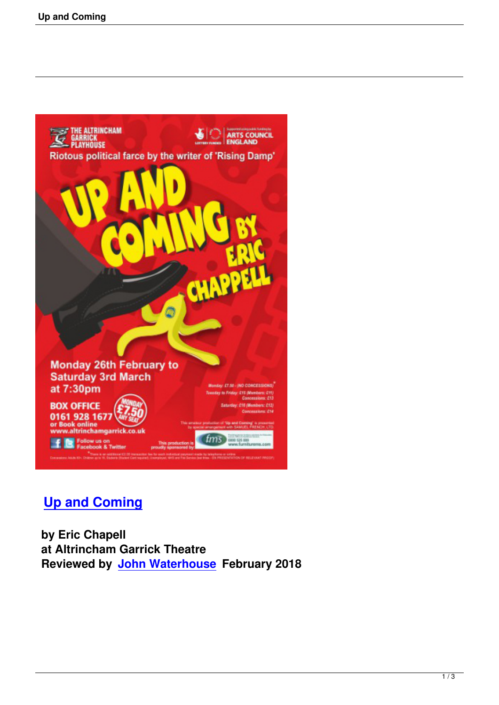

## **Up and Coming**

 **by Eric Chapell [at Altrincham Garr](up-and-coming.html)ick Theatre Reviewed by John Waterhouse February 2018**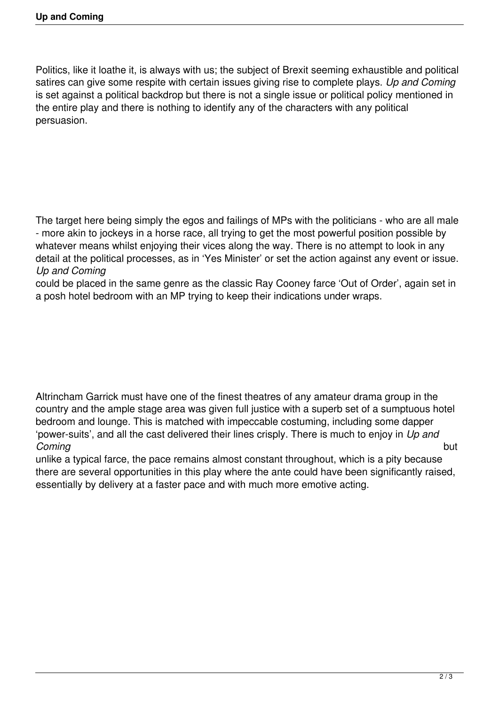Politics, like it loathe it, is always with us; the subject of Brexit seeming exhaustible and political satires can give some respite with certain issues giving rise to complete plays. *Up and Coming* is set against a political backdrop but there is not a single issue or political policy mentioned in the entire play and there is nothing to identify any of the characters with any political persuasion.

The target here being simply the egos and failings of MPs with the politicians - who are all male - more akin to jockeys in a horse race, all trying to get the most powerful position possible by whatever means whilst enjoying their vices along the way. There is no attempt to look in any detail at the political processes, as in 'Yes Minister' or set the action against any event or issue. *Up and Coming* 

could be placed in the same genre as the classic Ray Cooney farce 'Out of Order', again set in a posh hotel bedroom with an MP trying to keep their indications under wraps.

Altrincham Garrick must have one of the finest theatres of any amateur drama group in the country and the ample stage area was given full justice with a superb set of a sumptuous hotel bedroom and lounge. This is matched with impeccable costuming, including some dapper 'power-suits', and all the cast delivered their lines crisply. There is much to enjoy in *Up and Coming* but

unlike a typical farce, the pace remains almost constant throughout, which is a pity because there are several opportunities in this play where the ante could have been significantly raised, essentially by delivery at a faster pace and with much more emotive acting.